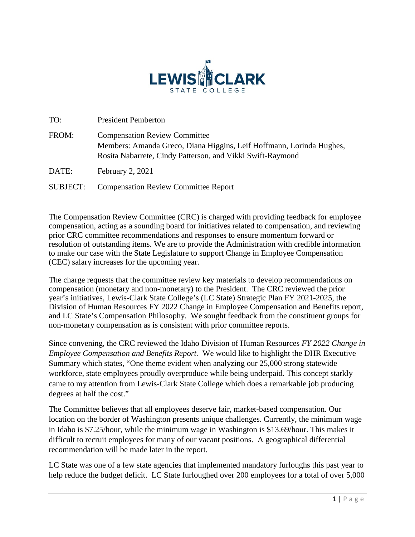

| TO:      | <b>President Pemberton</b>                                                                                                                                                 |  |
|----------|----------------------------------------------------------------------------------------------------------------------------------------------------------------------------|--|
| FROM:    | <b>Compensation Review Committee</b><br>Members: Amanda Greco, Diana Higgins, Leif Hoffmann, Lorinda Hughes,<br>Rosita Nabarrete, Cindy Patterson, and Vikki Swift-Raymond |  |
| DATE:    | February 2, 2021                                                                                                                                                           |  |
| SUBJECT: | <b>Compensation Review Committee Report</b>                                                                                                                                |  |

The Compensation Review Committee (CRC) is charged with providing feedback for employee compensation, acting as a sounding board for initiatives related to compensation, and reviewing prior CRC committee recommendations and responses to ensure momentum forward or resolution of outstanding items. We are to provide the Administration with credible information to make our case with the State Legislature to support Change in Employee Compensation (CEC) salary increases for the upcoming year.

The charge requests that the committee review key materials to develop recommendations on compensation (monetary and non-monetary) to the President. The CRC reviewed the prior year's initiatives, Lewis-Clark State College's (LC State) Strategic Plan FY 2021-2025, the Division of Human Resources FY 2022 Change in Employee Compensation and Benefits report, and LC State's Compensation Philosophy. We sought feedback from the constituent groups for non-monetary compensation as is consistent with prior committee reports.

Since convening, the CRC reviewed the Idaho Division of Human Resources *FY 2022 Change in Employee Compensation and Benefits Report.* We would like to highlight the DHR Executive Summary which states, "One theme evident when analyzing our 25,000 strong statewide workforce, state employees proudly overproduce while being underpaid. This concept starkly came to my attention from Lewis-Clark State College which does a remarkable job producing degrees at half the cost."

The Committee believes that all employees deserve fair, market-based compensation. Our location on the border of Washington presents unique challenges. Currently, the minimum wage in Idaho is \$7.25/hour, while the minimum wage in Washington is \$13.69/hour. This makes it difficult to recruit employees for many of our vacant positions. A geographical differential recommendation will be made later in the report.

LC State was one of a few state agencies that implemented mandatory furloughs this past year to help reduce the budget deficit. LC State furloughed over 200 employees for a total of over 5,000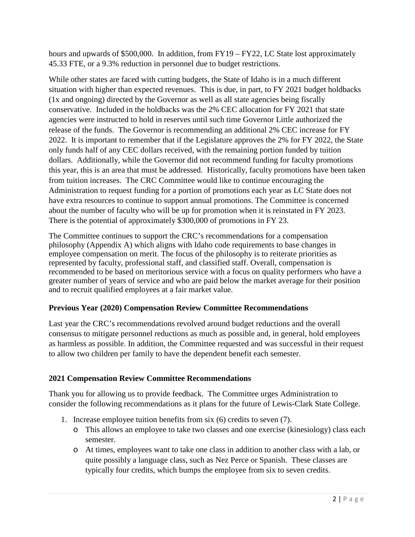hours and upwards of \$500,000. In addition, from FY19 – FY22, LC State lost approximately 45.33 FTE, or a 9.3% reduction in personnel due to budget restrictions.

While other states are faced with cutting budgets, the State of Idaho is in a much different situation with higher than expected revenues. This is due, in part, to FY 2021 budget holdbacks (1x and ongoing) directed by the Governor as well as all state agencies being fiscally conservative. Included in the holdbacks was the 2% CEC allocation for FY 2021 that state agencies were instructed to hold in reserves until such time Governor Little authorized the release of the funds. The Governor is recommending an additional 2% CEC increase for FY 2022. It is important to remember that if the Legislature approves the 2% for FY 2022, the State only funds half of any CEC dollars received, with the remaining portion funded by tuition dollars. Additionally, while the Governor did not recommend funding for faculty promotions this year, this is an area that must be addressed. Historically, faculty promotions have been taken from tuition increases. The CRC Committee would like to continue encouraging the Administration to request funding for a portion of promotions each year as LC State does not have extra resources to continue to support annual promotions. The Committee is concerned about the number of faculty who will be up for promotion when it is reinstated in FY 2023. There is the potential of approximately \$300,000 of promotions in FY 23.

The Committee continues to support the CRC's recommendations for a compensation philosophy (Appendix A) which aligns with Idaho code requirements to base changes in employee compensation on merit. The focus of the philosophy is to reiterate priorities as represented by faculty, professional staff, and classified staff. Overall, compensation is recommended to be based on meritorious service with a focus on quality performers who have a greater number of years of service and who are paid below the market average for their position and to recruit qualified employees at a fair market value.

## **Previous Year (2020) Compensation Review Committee Recommendations**

Last year the CRC's recommendations revolved around budget reductions and the overall consensus to mitigate personnel reductions as much as possible and, in general, hold employees as harmless as possible. In addition, the Committee requested and was successful in their request to allow two children per family to have the dependent benefit each semester.

## **2021 Compensation Review Committee Recommendations**

Thank you for allowing us to provide feedback. The Committee urges Administration to consider the following recommendations as it plans for the future of Lewis-Clark State College.

- 1. Increase employee tuition benefits from six (6) credits to seven (7).
	- o This allows an employee to take two classes and one exercise (kinesiology) class each semester.
	- o At times, employees want to take one class in addition to another class with a lab, or quite possibly a language class, such as Nez Perce or Spanish. These classes are typically four credits, which bumps the employee from six to seven credits.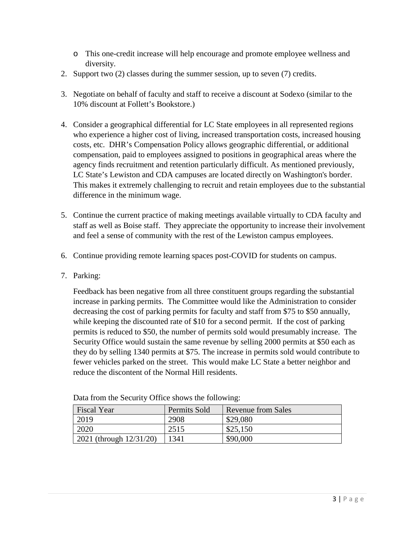- o This one-credit increase will help encourage and promote employee wellness and diversity.
- 2. Support two (2) classes during the summer session, up to seven (7) credits.
- 3. Negotiate on behalf of faculty and staff to receive a discount at Sodexo (similar to the 10% discount at Follett's Bookstore.)
- 4. Consider a geographical differential for LC State employees in all represented regions who experience a higher cost of living, increased transportation costs, increased housing costs, etc. DHR's Compensation Policy allows geographic differential, or additional compensation, paid to employees assigned to positions in geographical areas where the agency finds recruitment and retention particularly difficult. As mentioned previously, LC State's Lewiston and CDA campuses are located directly on Washington's border. This makes it extremely challenging to recruit and retain employees due to the substantial difference in the minimum wage.
- 5. Continue the current practice of making meetings available virtually to CDA faculty and staff as well as Boise staff. They appreciate the opportunity to increase their involvement and feel a sense of community with the rest of the Lewiston campus employees.
- 6. Continue providing remote learning spaces post-COVID for students on campus.
- 7. Parking:

Feedback has been negative from all three constituent groups regarding the substantial increase in parking permits. The Committee would like the Administration to consider decreasing the cost of parking permits for faculty and staff from \$75 to \$50 annually, while keeping the discounted rate of \$10 for a second permit. If the cost of parking permits is reduced to \$50, the number of permits sold would presumably increase. The Security Office would sustain the same revenue by selling 2000 permits at \$50 each as they do by selling 1340 permits at \$75. The increase in permits sold would contribute to fewer vehicles parked on the street. This would make LC State a better neighbor and reduce the discontent of the Normal Hill residents.

| <b>Fiscal Year</b>      | Permits Sold | <b>Revenue from Sales</b> |
|-------------------------|--------------|---------------------------|
| 2019                    | 2908         | \$29,080                  |
| 2020                    | 2515         | \$25,150                  |
| 2021 (through 12/31/20) | 1341         | \$90,000                  |

Data from the Security Office shows the following: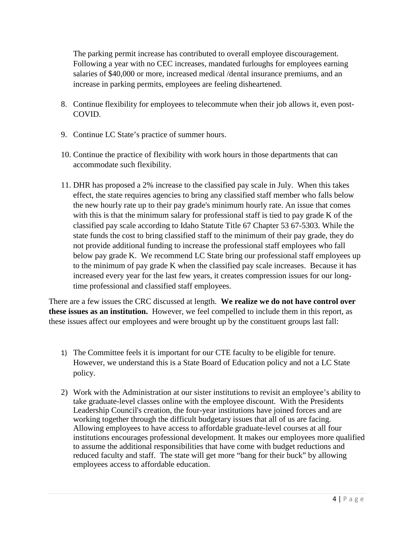The parking permit increase has contributed to overall employee discouragement. Following a year with no CEC increases, mandated furloughs for employees earning salaries of \$40,000 or more, increased medical /dental insurance premiums, and an increase in parking permits, employees are feeling disheartened.

- 8. Continue flexibility for employees to telecommute when their job allows it, even post-COVID.
- 9. Continue LC State's practice of summer hours.
- 10. Continue the practice of flexibility with work hours in those departments that can accommodate such flexibility.
- 11. DHR has proposed a 2% increase to the classified pay scale in July. When this takes effect, the state requires agencies to bring any classified staff member who falls below the new hourly rate up to their pay grade's minimum hourly rate. An issue that comes with this is that the minimum salary for professional staff is tied to pay grade K of the classified pay scale according to Idaho Statute Title 67 Chapter 53 67-5303. While the state funds the cost to bring classified staff to the minimum of their pay grade, they do not provide additional funding to increase the professional staff employees who fall below pay grade K. We recommend LC State bring our professional staff employees up to the minimum of pay grade K when the classified pay scale increases. Because it has increased every year for the last few years, it creates compression issues for our longtime professional and classified staff employees.

There are a few issues the CRC discussed at length. **We realize we do not have control over these issues as an institution.** However, we feel compelled to include them in this report, as these issues affect our employees and were brought up by the constituent groups last fall:

- 1) The Committee feels it is important for our CTE faculty to be eligible for tenure. However, we understand this is a State Board of Education policy and not a LC State policy.
- 2) Work with the Administration at our sister institutions to revisit an employee's ability to take graduate-level classes online with the employee discount. With the Presidents Leadership Council's creation, the four-year institutions have joined forces and are working together through the difficult budgetary issues that all of us are facing. Allowing employees to have access to affordable graduate-level courses at all four institutions encourages professional development. It makes our employees more qualified to assume the additional responsibilities that have come with budget reductions and reduced faculty and staff. The state will get more "bang for their buck" by allowing employees access to affordable education.